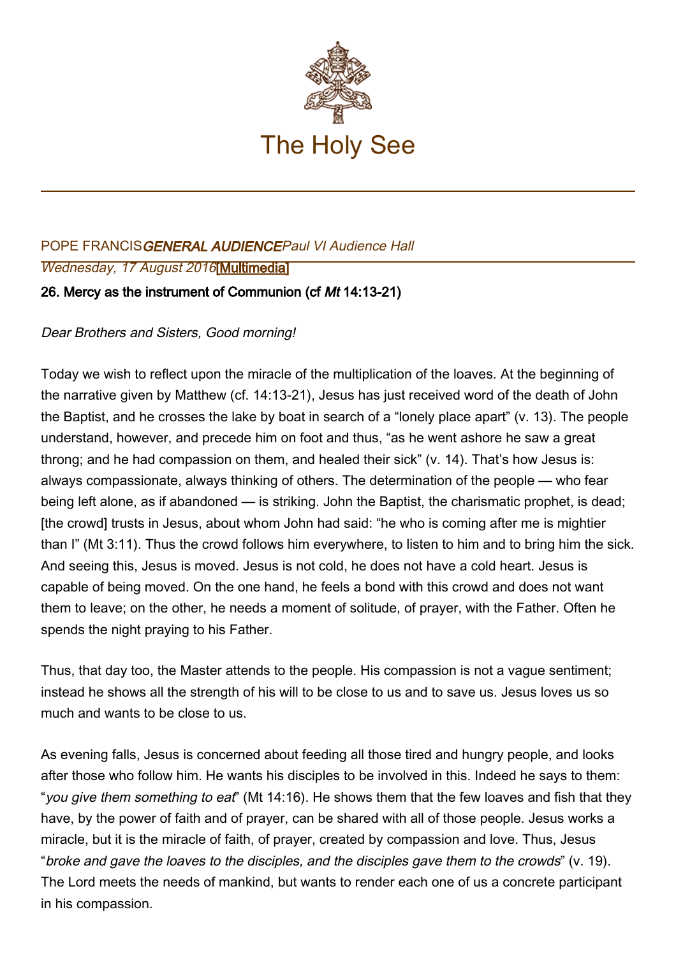

## POPE FRANCISGENERAL AUDIENCEPaul VI Audience Hall Wednesday, 17 August 2016[\[Multimedia](http://w2.vatican.va/content/francesco/en/events/event.dir.html/content/vaticanevents/en/2016/8/17/udienzagenerale.html)] 26. Mercy as the instrument of Communion (cf Mt 14:13-21)

## Dear Brothers and Sisters, Good morning!

Today we wish to reflect upon the miracle of the multiplication of the loaves. At the beginning of the narrative given by Matthew (cf. 14:13-21), Jesus has just received word of the death of John the Baptist, and he crosses the lake by boat in search of a "lonely place apart" (v. 13). The people understand, however, and precede him on foot and thus, "as he went ashore he saw a great throng; and he had compassion on them, and healed their sick" (v. 14). That's how Jesus is: always compassionate, always thinking of others. The determination of the people — who fear being left alone, as if abandoned — is striking. John the Baptist, the charismatic prophet, is dead; [the crowd] trusts in Jesus, about whom John had said: "he who is coming after me is mightier than I" (Mt 3:11). Thus the crowd follows him everywhere, to listen to him and to bring him the sick. And seeing this, Jesus is moved. Jesus is not cold, he does not have a cold heart. Jesus is capable of being moved. On the one hand, he feels a bond with this crowd and does not want them to leave; on the other, he needs a moment of solitude, of prayer, with the Father. Often he spends the night praying to his Father.

Thus, that day too, the Master attends to the people. His compassion is not a vague sentiment; instead he shows all the strength of his will to be close to us and to save us. Jesus loves us so much and wants to be close to us.

As evening falls, Jesus is concerned about feeding all those tired and hungry people, and looks after those who follow him. He wants his disciples to be involved in this. Indeed he says to them: "you give them something to eat" (Mt 14:16). He shows them that the few loaves and fish that they have, by the power of faith and of prayer, can be shared with all of those people. Jesus works a miracle, but it is the miracle of faith, of prayer, created by compassion and love. Thus, Jesus "broke and gave the loaves to the disciples, and the disciples gave them to the crowds" (v. 19). The Lord meets the needs of mankind, but wants to render each one of us a concrete participant in his compassion.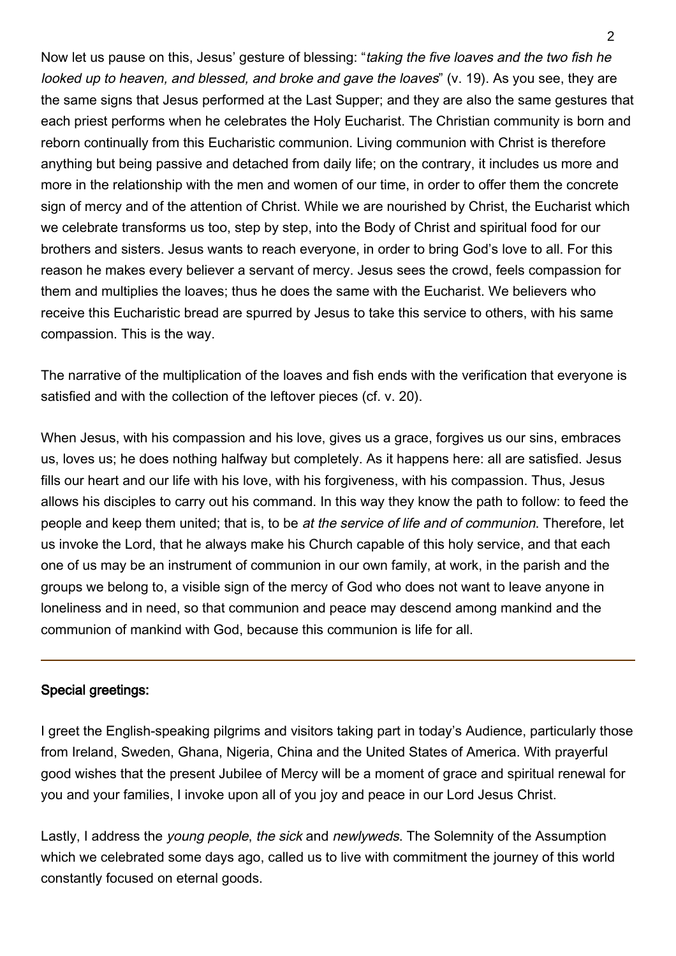Now let us pause on this, Jesus' gesture of blessing: "taking the five loaves and the two fish he looked up to heaven, and blessed, and broke and gave the loaves" (v. 19). As you see, they are the same signs that Jesus performed at the Last Supper; and they are also the same gestures that each priest performs when he celebrates the Holy Eucharist. The Christian community is born and reborn continually from this Eucharistic communion. Living communion with Christ is therefore anything but being passive and detached from daily life; on the contrary, it includes us more and more in the relationship with the men and women of our time, in order to offer them the concrete sign of mercy and of the attention of Christ. While we are nourished by Christ, the Eucharist which we celebrate transforms us too, step by step, into the Body of Christ and spiritual food for our brothers and sisters. Jesus wants to reach everyone, in order to bring God's love to all. For this reason he makes every believer a servant of mercy. Jesus sees the crowd, feels compassion for them and multiplies the loaves; thus he does the same with the Eucharist. We believers who receive this Eucharistic bread are spurred by Jesus to take this service to others, with his same compassion. This is the way.

The narrative of the multiplication of the loaves and fish ends with the verification that everyone is satisfied and with the collection of the leftover pieces (cf. v. 20).

When Jesus, with his compassion and his love, gives us a grace, forgives us our sins, embraces us, loves us; he does nothing halfway but completely. As it happens here: all are satisfied. Jesus fills our heart and our life with his love, with his forgiveness, with his compassion. Thus, Jesus allows his disciples to carry out his command. In this way they know the path to follow: to feed the people and keep them united; that is, to be at the service of life and of communion. Therefore, let us invoke the Lord, that he always make his Church capable of this holy service, and that each one of us may be an instrument of communion in our own family, at work, in the parish and the groups we belong to, a visible sign of the mercy of God who does not want to leave anyone in loneliness and in need, so that communion and peace may descend among mankind and the communion of mankind with God, because this communion is life for all.

## Special greetings:

I greet the English-speaking pilgrims and visitors taking part in today's Audience, particularly those from Ireland, Sweden, Ghana, Nigeria, China and the United States of America. With prayerful good wishes that the present Jubilee of Mercy will be a moment of grace and spiritual renewal for you and your families, I invoke upon all of you joy and peace in our Lord Jesus Christ.

Lastly, I address the *young people, the sick* and *newlyweds*. The Solemnity of the Assumption which we celebrated some days ago, called us to live with commitment the journey of this world constantly focused on eternal goods.